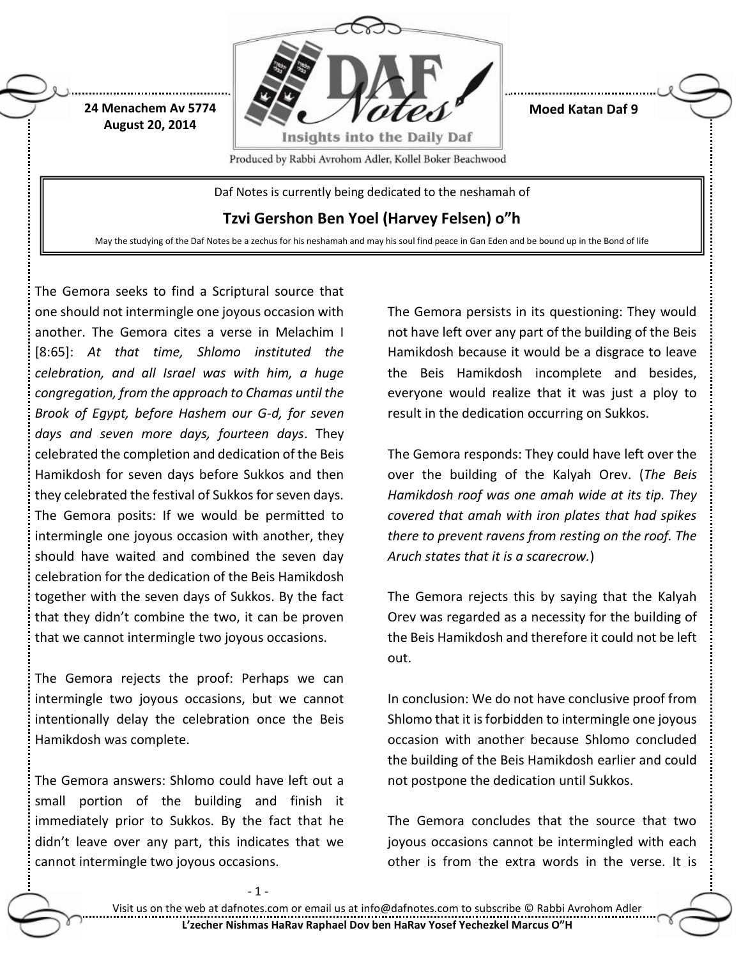

**Moed Katan Daf 9**

Produced by Rabbi Avrohom Adler, Kollel Boker Beachwood

Daf Notes is currently being dedicated to the neshamah of

**Tzvi Gershon Ben Yoel (Harvey Felsen) o"h**

May the studying of the Daf Notes be a zechus for his neshamah and may his soul find peace in Gan Eden and be bound up in the Bond of life

The Gemora seeks to find a Scriptural source that one should not intermingle one joyous occasion with another. The Gemora cites a verse in Melachim I [8:65]: *At that time, Shlomo instituted the celebration, and all Israel was with him, a huge congregation, from the approach to Chamas until the Brook of Egypt, before Hashem our G-d, for seven days and seven more days, fourteen days*. They celebrated the completion and dedication of the Beis Hamikdosh for seven days before Sukkos and then they celebrated the festival of Sukkos for seven days. The Gemora posits: If we would be permitted to intermingle one joyous occasion with another, they should have waited and combined the seven day celebration for the dedication of the Beis Hamikdosh together with the seven days of Sukkos. By the fact that they didn't combine the two, it can be proven that we cannot intermingle two joyous occasions.

**24 Menachem Av 5774 August 20, 2014**

The Gemora rejects the proof: Perhaps we can intermingle two joyous occasions, but we cannot intentionally delay the celebration once the Beis Hamikdosh was complete.

The Gemora answers: Shlomo could have left out a small portion of the building and finish it immediately prior to Sukkos. By the fact that he didn't leave over any part, this indicates that we cannot intermingle two joyous occasions.

- 1 -

The Gemora persists in its questioning: They would not have left over any part of the building of the Beis Hamikdosh because it would be a disgrace to leave the Beis Hamikdosh incomplete and besides, everyone would realize that it was just a ploy to result in the dedication occurring on Sukkos.

The Gemora responds: They could have left over the over the building of the Kalyah Orev. (*The Beis Hamikdosh roof was one amah wide at its tip. They covered that amah with iron plates that had spikes there to prevent ravens from resting on the roof. The Aruch states that it is a scarecrow.*)

The Gemora rejects this by saying that the Kalyah Orev was regarded as a necessity for the building of the Beis Hamikdosh and therefore it could not be left out.

In conclusion: We do not have conclusive proof from Shlomo that it is forbidden to intermingle one joyous occasion with another because Shlomo concluded the building of the Beis Hamikdosh earlier and could not postpone the dedication until Sukkos.

The Gemora concludes that the source that two joyous occasions cannot be intermingled with each other is from the extra words in the verse. It is

Visit us on the web at dafnotes.com or email us at [info@dafnotes.com](mailto:info@dafnotes.com) to subscribe © Rabbi Avrohom Adler **L'zecher Nishmas HaRav Raphael Dov ben HaRav Yosef Yechezkel Marcus O"H**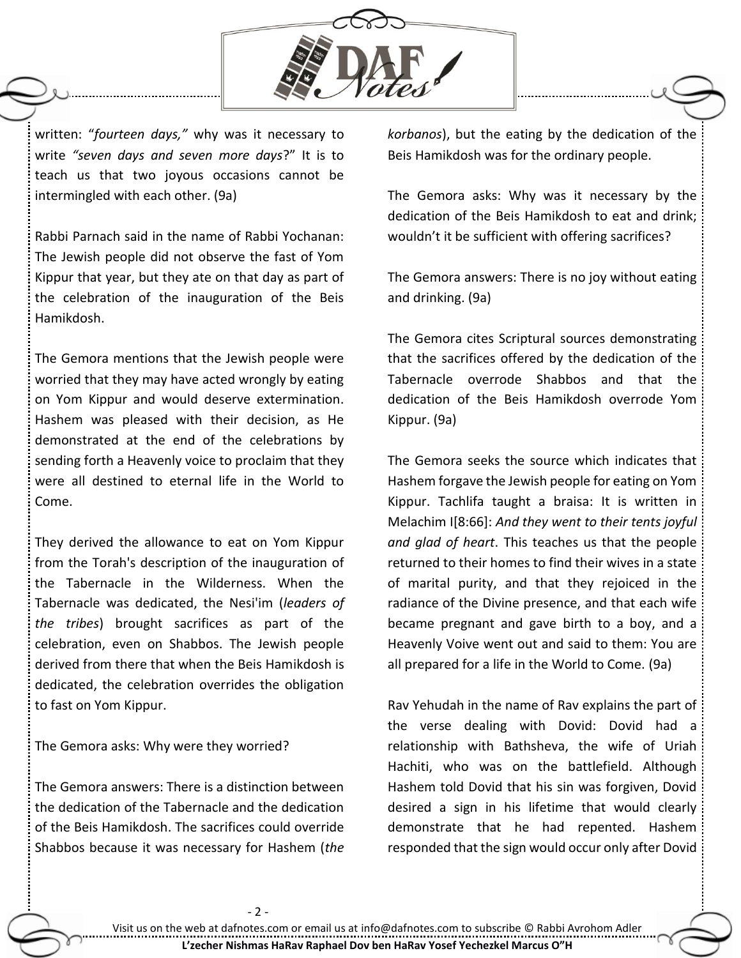

written: "*fourteen days,"* why was it necessary to write *"seven days and seven more days*?" It is to teach us that two joyous occasions cannot be intermingled with each other. (9a)

Rabbi Parnach said in the name of Rabbi Yochanan: The Jewish people did not observe the fast of Yom Kippur that year, but they ate on that day as part of the celebration of the inauguration of the Beis Hamikdosh.

The Gemora mentions that the Jewish people were worried that they may have acted wrongly by eating on Yom Kippur and would deserve extermination. Hashem was pleased with their decision, as He demonstrated at the end of the celebrations by sending forth a Heavenly voice to proclaim that they were all destined to eternal life in the World to Come.

They derived the allowance to eat on Yom Kippur from the Torah's description of the inauguration of the Tabernacle in the Wilderness. When the Tabernacle was dedicated, the Nesi'im (*leaders of the tribes*) brought sacrifices as part of the celebration, even on Shabbos. The Jewish people derived from there that when the Beis Hamikdosh is dedicated, the celebration overrides the obligation to fast on Yom Kippur.

The Gemora asks: Why were they worried?

The Gemora answers: There is a distinction between the dedication of the Tabernacle and the dedication of the Beis Hamikdosh. The sacrifices could override Shabbos because it was necessary for Hashem (*the* 

*korbanos*), but the eating by the dedication of the Beis Hamikdosh was for the ordinary people.

The Gemora asks: Why was it necessary by the dedication of the Beis Hamikdosh to eat and drink; wouldn't it be sufficient with offering sacrifices?

The Gemora answers: There is no joy without eating and drinking. (9a)

The Gemora cites Scriptural sources demonstrating that the sacrifices offered by the dedication of the Tabernacle overrode Shabbos and that the dedication of the Beis Hamikdosh overrode Yom Kippur. (9a)

The Gemora seeks the source which indicates that Hashem forgave the Jewish people for eating on Yom Kippur. Tachlifa taught a braisa: It is written in Melachim I[8:66]: *And they went to their tents joyful and glad of heart*. This teaches us that the people returned to their homes to find their wives in a state of marital purity, and that they rejoiced in the radiance of the Divine presence, and that each wife became pregnant and gave birth to a boy, and a Heavenly Voive went out and said to them: You are all prepared for a life in the World to Come. (9a)

Rav Yehudah in the name of Rav explains the part of the verse dealing with Dovid: Dovid had a relationship with Bathsheva, the wife of Uriah Hachiti, who was on the battlefield. Although Hashem told Dovid that his sin was forgiven, Dovid desired a sign in his lifetime that would clearly demonstrate that he had repented. Hashem responded that the sign would occur only after Dovid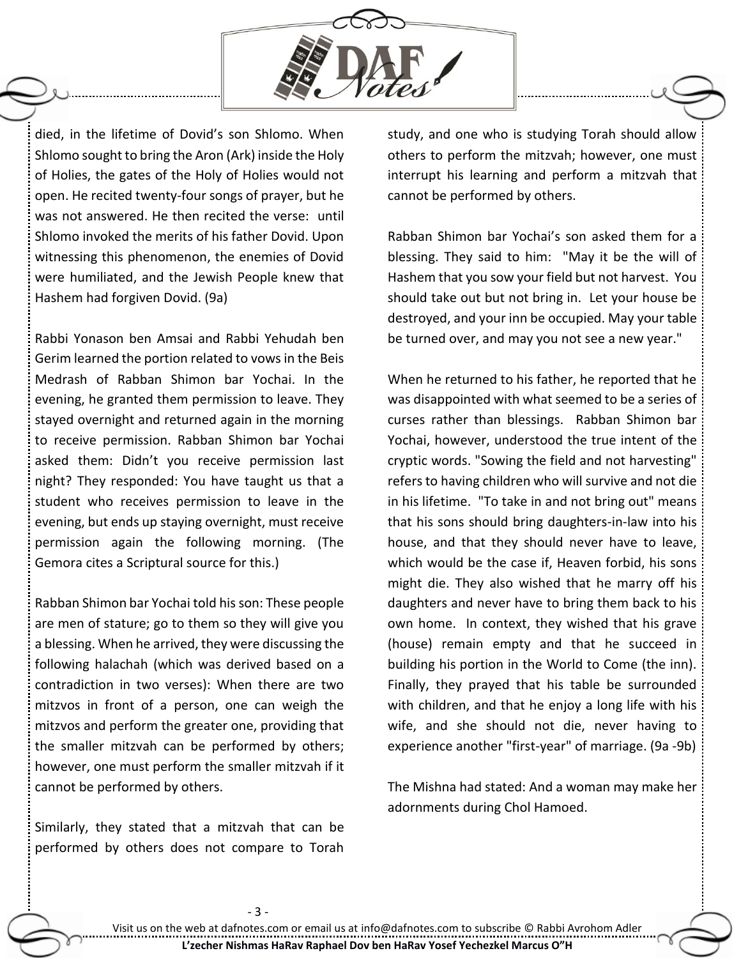

died, in the lifetime of Dovid's son Shlomo. When Shlomo sought to bring the Aron (Ark) inside the Holy of Holies, the gates of the Holy of Holies would not open. He recited twenty-four songs of prayer, but he was not answered. He then recited the verse: until Shlomo invoked the merits of his father Dovid. Upon witnessing this phenomenon, the enemies of Dovid were humiliated, and the Jewish People knew that Hashem had forgiven Dovid. (9a)

Rabbi Yonason ben Amsai and Rabbi Yehudah ben Gerim learned the portion related to vows in the Beis Medrash of Rabban Shimon bar Yochai. In the evening, he granted them permission to leave. They stayed overnight and returned again in the morning to receive permission. Rabban Shimon bar Yochai asked them: Didn't you receive permission last night? They responded: You have taught us that a student who receives permission to leave in the evening, but ends up staying overnight, must receive permission again the following morning. (The Gemora cites a Scriptural source for this.)

Rabban Shimon bar Yochai told his son: These people are men of stature; go to them so they will give you a blessing. When he arrived, they were discussing the following halachah (which was derived based on a contradiction in two verses): When there are two mitzvos in front of a person, one can weigh the mitzvos and perform the greater one, providing that the smaller mitzvah can be performed by others; however, one must perform the smaller mitzvah if it cannot be performed by others.

Similarly, they stated that a mitzvah that can be performed by others does not compare to Torah

study, and one who is studying Torah should allow others to perform the mitzvah; however, one must interrupt his learning and perform a mitzvah that cannot be performed by others.

Rabban Shimon bar Yochai's son asked them for a blessing. They said to him: "May it be the will of Hashem that you sow your field but not harvest. You should take out but not bring in. Let your house be destroyed, and your inn be occupied. May your table be turned over, and may you not see a new year."

When he returned to his father, he reported that he was disappointed with what seemed to be a series of curses rather than blessings. Rabban Shimon bar Yochai, however, understood the true intent of the cryptic words. "Sowing the field and not harvesting" refers to having children who will survive and not die in his lifetime. "To take in and not bring out" means that his sons should bring daughters-in-law into his house, and that they should never have to leave, which would be the case if, Heaven forbid, his sons might die. They also wished that he marry off his daughters and never have to bring them back to his own home. In context, they wished that his grave (house) remain empty and that he succeed in building his portion in the World to Come (the inn). Finally, they prayed that his table be surrounded with children, and that he enjoy a long life with his wife, and she should not die, never having to experience another "first-year" of marriage. (9a -9b)

The Mishna had stated: And a woman may make her adornments during Chol Hamoed.

- 3 -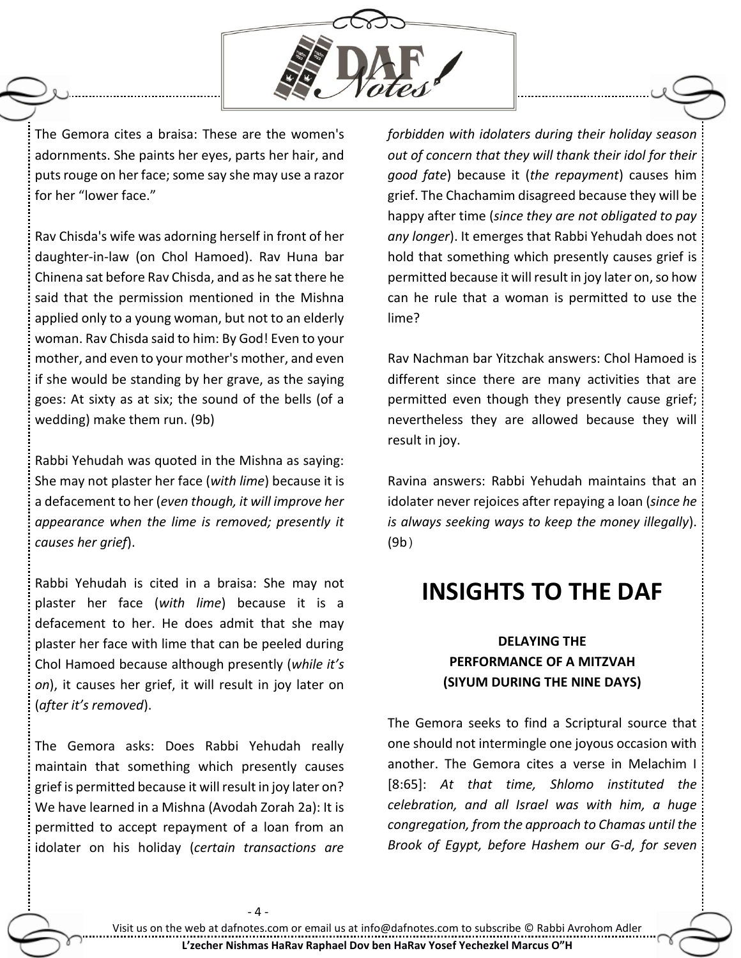

The Gemora cites a braisa: These are the women's adornments. She paints her eyes, parts her hair, and puts rouge on her face; some say she may use a razor for her "lower face."

Rav Chisda's wife was adorning herself in front of her daughter-in-law (on Chol Hamoed). Rav Huna bar Chinena sat before Rav Chisda, and as he sat there he said that the permission mentioned in the Mishna applied only to a young woman, but not to an elderly woman. Rav Chisda said to him: By God! Even to your mother, and even to your mother's mother, and even if she would be standing by her grave, as the saying goes: At sixty as at six; the sound of the bells (of a wedding) make them run. (9b)

Rabbi Yehudah was quoted in the Mishna as saying: She may not plaster her face (*with lime*) because it is a defacement to her (*even though, it will improve her appearance when the lime is removed; presently it causes her grief*).

Rabbi Yehudah is cited in a braisa: She may not plaster her face (*with lime*) because it is a defacement to her. He does admit that she may plaster her face with lime that can be peeled during Chol Hamoed because although presently (*while it's on*), it causes her grief, it will result in joy later on (*after it's removed*).

The Gemora asks: Does Rabbi Yehudah really maintain that something which presently causes grief is permitted because it will result in joy later on? We have learned in a Mishna (Avodah Zorah 2a): It is permitted to accept repayment of a loan from an idolater on his holiday (*certain transactions are* 

 $-4-$ 

*forbidden with idolaters during their holiday season out of concern that they will thank their idol for their good fate*) because it (*the repayment*) causes him grief. The Chachamim disagreed because they will be happy after time (*since they are not obligated to pay any longer*). It emerges that Rabbi Yehudah does not hold that something which presently causes grief is permitted because it will result in joy later on, so how can he rule that a woman is permitted to use the lime?

Rav Nachman bar Yitzchak answers: Chol Hamoed is different since there are many activities that are permitted even though they presently cause grief; nevertheless they are allowed because they will result in joy.

Ravina answers: Rabbi Yehudah maintains that an idolater never rejoices after repaying a loan (*since he is always seeking ways to keep the money illegally*). (9b)

# **INSIGHTS TO THE DAF**

### **DELAYING THE PERFORMANCE OF A MITZVAH (SIYUM DURING THE NINE DAYS)**

The Gemora seeks to find a Scriptural source that one should not intermingle one joyous occasion with another. The Gemora cites a verse in Melachim I [8:65]: *At that time, Shlomo instituted the celebration, and all Israel was with him, a huge congregation, from the approach to Chamas until the Brook of Egypt, before Hashem our G-d, for seven*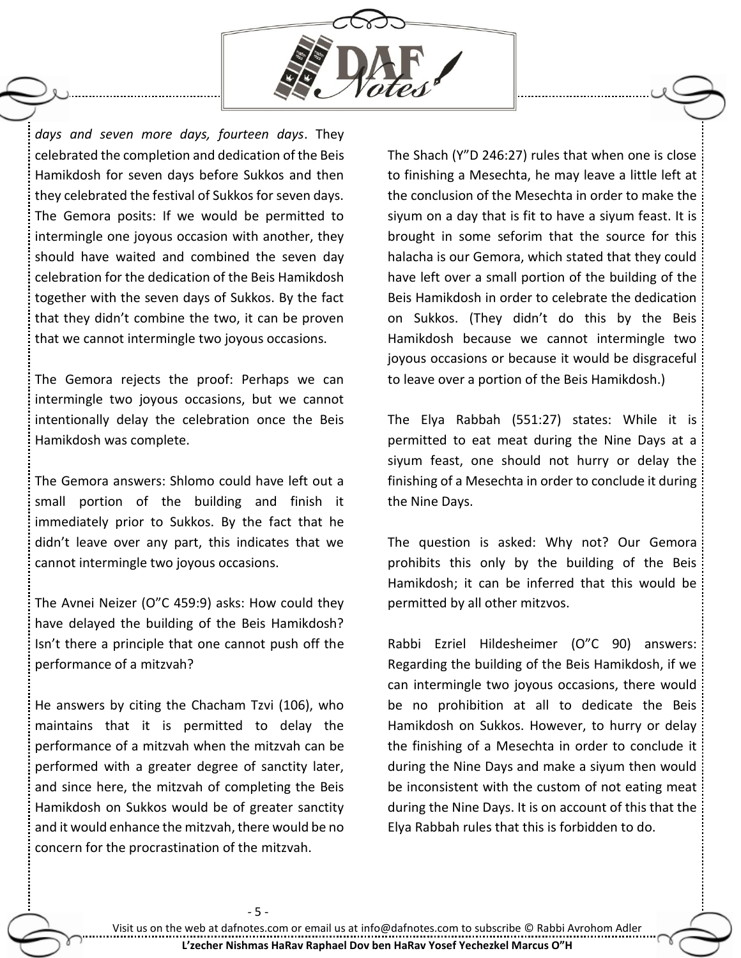

*days and seven more days, fourteen days*. They celebrated the completion and dedication of the Beis Hamikdosh for seven days before Sukkos and then they celebrated the festival of Sukkos for seven days. The Gemora posits: If we would be permitted to intermingle one joyous occasion with another, they should have waited and combined the seven day celebration for the dedication of the Beis Hamikdosh together with the seven days of Sukkos. By the fact that they didn't combine the two, it can be proven that we cannot intermingle two joyous occasions.

The Gemora rejects the proof: Perhaps we can intermingle two joyous occasions, but we cannot intentionally delay the celebration once the Beis Hamikdosh was complete.

The Gemora answers: Shlomo could have left out a small portion of the building and finish it immediately prior to Sukkos. By the fact that he didn't leave over any part, this indicates that we cannot intermingle two joyous occasions.

The Avnei Neizer (O"C 459:9) asks: How could they have delayed the building of the Beis Hamikdosh? Isn't there a principle that one cannot push off the performance of a mitzvah?

He answers by citing the Chacham Tzvi (106), who maintains that it is permitted to delay the performance of a mitzvah when the mitzvah can be performed with a greater degree of sanctity later, and since here, the mitzvah of completing the Beis Hamikdosh on Sukkos would be of greater sanctity and it would enhance the mitzvah, there would be no concern for the procrastination of the mitzvah.

- 5 -

The Shach (Y"D 246:27) rules that when one is close to finishing a Mesechta, he may leave a little left at the conclusion of the Mesechta in order to make the siyum on a day that is fit to have a siyum feast. It is brought in some seforim that the source for this halacha is our Gemora, which stated that they could have left over a small portion of the building of the Beis Hamikdosh in order to celebrate the dedication on Sukkos. (They didn't do this by the Beis Hamikdosh because we cannot intermingle two joyous occasions or because it would be disgraceful to leave over a portion of the Beis Hamikdosh.)

The Elya Rabbah (551:27) states: While it is permitted to eat meat during the Nine Days at a siyum feast, one should not hurry or delay the finishing of a Mesechta in order to conclude it during the Nine Days.

The question is asked: Why not? Our Gemora prohibits this only by the building of the Beis Hamikdosh; it can be inferred that this would be permitted by all other mitzvos.

Rabbi Ezriel Hildesheimer (O"C 90) answers: Regarding the building of the Beis Hamikdosh, if we can intermingle two joyous occasions, there would be no prohibition at all to dedicate the Beis Hamikdosh on Sukkos. However, to hurry or delay the finishing of a Mesechta in order to conclude it during the Nine Days and make a siyum then would be inconsistent with the custom of not eating meat during the Nine Days. It is on account of this that the Elya Rabbah rules that this is forbidden to do.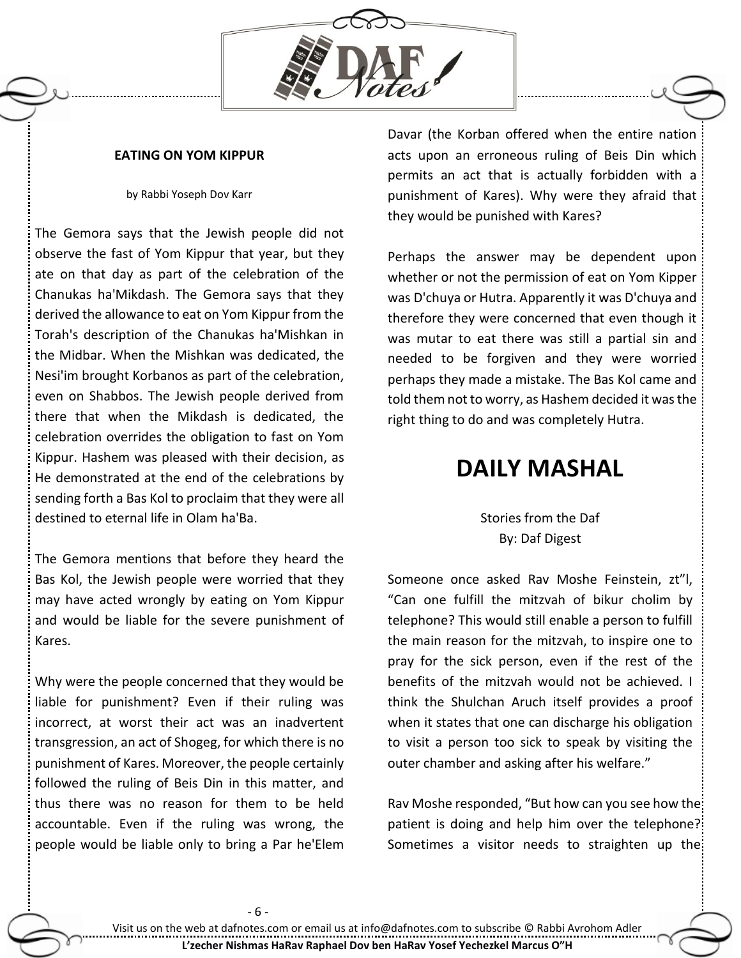

### **EATING ON YOM KIPPUR**

#### by Rabbi Yoseph Dov Karr

The Gemora says that the Jewish people did not observe the fast of Yom Kippur that year, but they ate on that day as part of the celebration of the Chanukas ha'Mikdash. The Gemora says that they derived the allowance to eat on Yom Kippur from the Torah's description of the Chanukas ha'Mishkan in the Midbar. When the Mishkan was dedicated, the Nesi'im brought Korbanos as part of the celebration, even on Shabbos. The Jewish people derived from there that when the Mikdash is dedicated, the celebration overrides the obligation to fast on Yom Kippur. Hashem was pleased with their decision, as He demonstrated at the end of the celebrations by sending forth a Bas Kol to proclaim that they were all destined to eternal life in Olam ha'Ba.

The Gemora mentions that before they heard the Bas Kol, the Jewish people were worried that they may have acted wrongly by eating on Yom Kippur and would be liable for the severe punishment of Kares.

Why were the people concerned that they would be liable for punishment? Even if their ruling was incorrect, at worst their act was an inadvertent transgression, an act of Shogeg, for which there is no punishment of Kares. Moreover, the people certainly followed the ruling of Beis Din in this matter, and thus there was no reason for them to be held accountable. Even if the ruling was wrong, the people would be liable only to bring a Par he'Elem Davar (the Korban offered when the entire nation acts upon an erroneous ruling of Beis Din which permits an act that is actually forbidden with a punishment of Kares). Why were they afraid that they would be punished with Kares?

Perhaps the answer may be dependent upon whether or not the permission of eat on Yom Kipper was D'chuya or Hutra. Apparently it was D'chuya and therefore they were concerned that even though it was mutar to eat there was still a partial sin and needed to be forgiven and they were worried perhaps they made a mistake. The Bas Kol came and told them not to worry, as Hashem decided it was the right thing to do and was completely Hutra.

## **DAILY MASHAL**

Stories from the Daf By: Daf Digest

Someone once asked Rav Moshe Feinstein, zt"l, "Can one fulfill the mitzvah of bikur cholim by telephone? This would still enable a person to fulfill the main reason for the mitzvah, to inspire one to pray for the sick person, even if the rest of the benefits of the mitzvah would not be achieved. I think the Shulchan Aruch itself provides a proof when it states that one can discharge his obligation to visit a person too sick to speak by visiting the outer chamber and asking after his welfare."

Rav Moshe responded, "But how can you see how the patient is doing and help him over the telephone?: Sometimes a visitor needs to straighten up the: